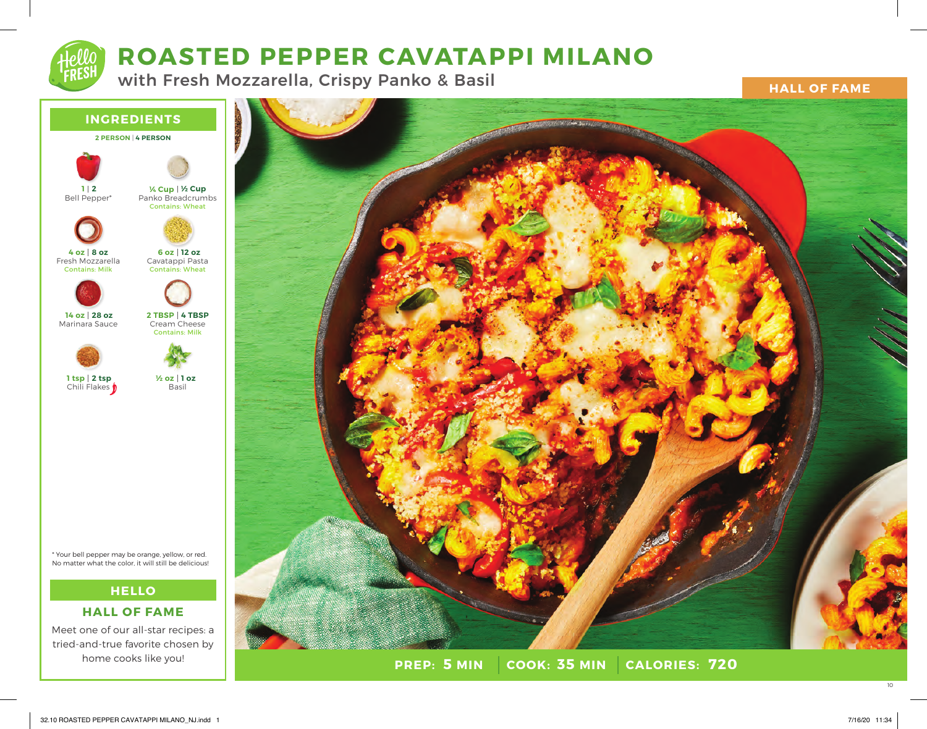# **ROASTED PEPPER CAVATAPPI MILANO**

with Fresh Mozzarella, Crispy Panko & Basil

**HALL OF FAME**



\* Your bell pepper may be orange, yellow, or red. No matter what the color, it will still be delicious!

# **HELLO**

# **HALL OF FAME**

Meet one of our all-star recipes: a tried-and-true favorite chosen by home cooks like you!



**PREP: 5 MIN | COOK: 35 MIN 5 MIN 35 MIN 720**

10